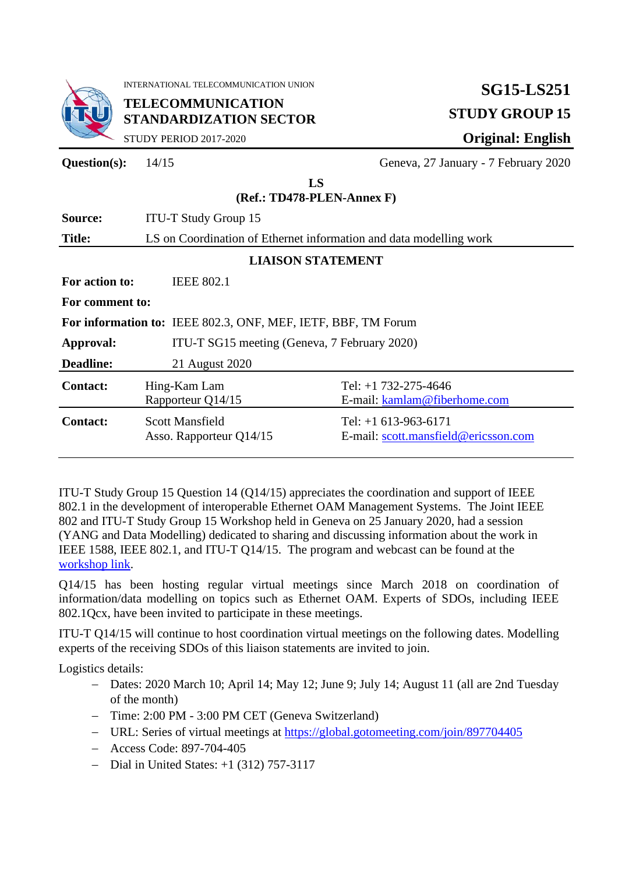

INTERNATIONAL TELECOMMUNICATION UNION

**TELECOMMUNICATION STANDARDIZATION SECTOR**

## **SG15-LS251 STUDY GROUP 15 Original: English**

STUDY PERIOD 2017-2020

**Question(s):** 14/15 Geneva, 27 January - 7 February 2020

## **LS (Ref.: TD478-PLEN-Annex F)**

| Source:                                                       | <b>ITU-T Study Group 15</b>                                        |                                                                |
|---------------------------------------------------------------|--------------------------------------------------------------------|----------------------------------------------------------------|
| <b>Title:</b>                                                 | LS on Coordination of Ethernet information and data modelling work |                                                                |
| <b>LIAISON STATEMENT</b>                                      |                                                                    |                                                                |
| For action to:                                                | <b>IEEE 802.1</b>                                                  |                                                                |
| For comment to:                                               |                                                                    |                                                                |
| For information to: IEEE 802.3, ONF, MEF, IETF, BBF, TM Forum |                                                                    |                                                                |
| Approval:<br>ITU-T SG15 meeting (Geneva, 7 February 2020)     |                                                                    |                                                                |
| <b>Deadline:</b>                                              | 21 August 2020                                                     |                                                                |
| <b>Contact:</b>                                               | Hing-Kam Lam<br>Rapporteur Q14/15                                  | Tel: $+1$ 732-275-4646<br>E-mail: kamlam@fiberhome.com         |
| <b>Contact:</b>                                               | <b>Scott Mansfield</b><br>Asso. Rapporteur Q14/15                  | Tel: $+1$ 613-963-6171<br>E-mail: scott.mansfield@ericsson.com |

ITU-T Study Group 15 Question 14 (Q14/15) appreciates the coordination and support of IEEE 802.1 in the development of interoperable Ethernet OAM Management Systems. The Joint IEEE 802 and ITU-T Study Group 15 Workshop held in Geneva on 25 January 2020, had a session (YANG and Data Modelling) dedicated to sharing and discussing information about the work in IEEE 1588, IEEE 802.1, and ITU-T Q14/15. The program and webcast can be found at the [workshop link.](https://www.itu.int/en/ITU-T/Workshops-and-Seminars/202001/Pages/default.aspx)

Q14/15 has been hosting regular virtual meetings since March 2018 on coordination of information/data modelling on topics such as Ethernet OAM. Experts of SDOs, including IEEE 802.1Qcx, have been invited to participate in these meetings.

ITU-T Q14/15 will continue to host coordination virtual meetings on the following dates. Modelling experts of the receiving SDOs of this liaison statements are invited to join.

Logistics details:

- − Dates: 2020 March 10; April 14; May 12; June 9; July 14; August 11 (all are 2nd Tuesday of the month)
- − Time: 2:00 PM 3:00 PM CET (Geneva Switzerland)
- − URL: Series of virtual meetings at<https://global.gotomeeting.com/join/897704405>
- − Access Code: 897-704-405
- − Dial in United States: +1 (312) 757-3117